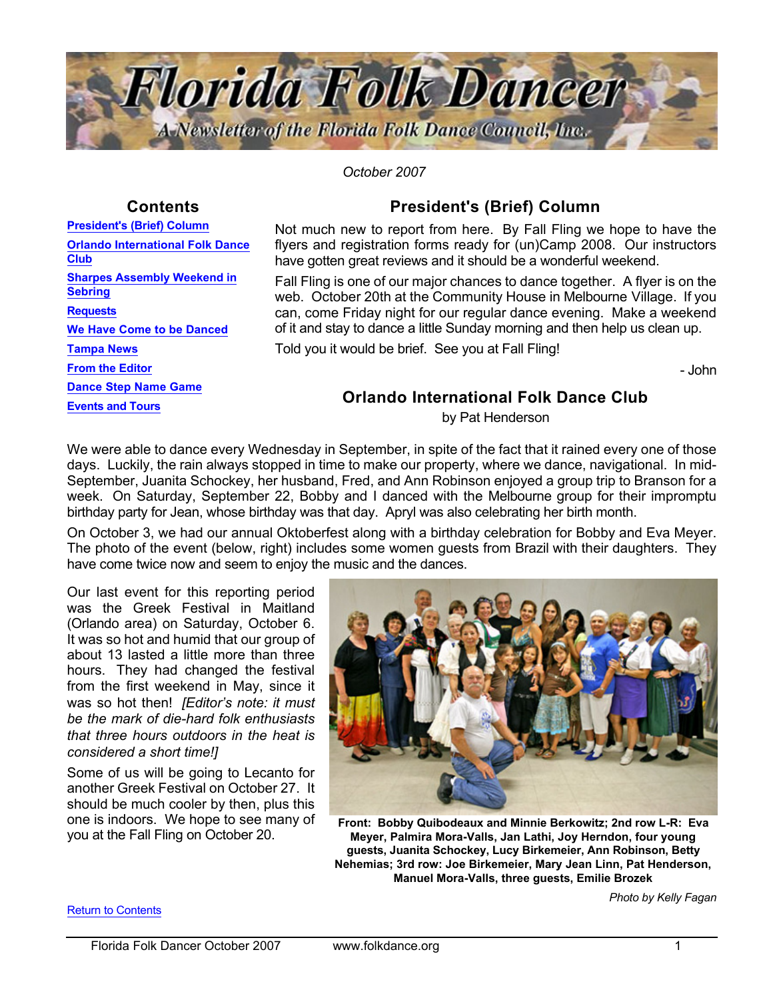<span id="page-0-0"></span>

*October 2007*

## **Contents**

President's (Brief) Column Orlando International Folk Dance Club [Sharpes Assembly Weekend in](#page-1-0) **[Sebring](#page-1-0) [Requests](#page-1-0)** [We Have Come to be Danced](#page-2-0) [Tampa News](#page-2-0) [From the Editor](#page-3-0) [Dance Step Name Game](#page-3-0) [Events and Tours](#page-3-0)

# President's (Brief) Column

Not much new to report from here. By Fall Fling we hope to have the flyers and registration forms ready for (un)Camp 2008. Our instructors have gotten great reviews and it should be a wonderful weekend.

Fall Fling is one of our major chances to dance together. A flyer is on the web. October 20th at the Community House in Melbourne Village. If you can, come Friday night for our regular dance evening. Make a weekend of it and stay to dance a little Sunday morning and then help us clean up.

Told you it would be brief. See you at Fall Fling!

- John

# Orlando International Folk Dance Club

by Pat Henderson

We were able to dance every Wednesday in September, in spite of the fact that it rained every one of those days. Luckily, the rain always stopped in time to make our property, where we dance, navigational. In mid-September, Juanita Schockey, her husband, Fred, and Ann Robinson enjoyed a group trip to Branson for a week. On Saturday, September 22, Bobby and I danced with the Melbourne group for their impromptu birthday party for Jean, whose birthday was that day. Apryl was also celebrating her birth month.

On October 3, we had our annual Oktoberfest along with a birthday celebration for Bobby and Eva Meyer. The photo of the event (below, right) includes some women guests from Brazil with their daughters. They have come twice now and seem to enjoy the music and the dances.

Our last event for this reporting period was the Greek Festival in Maitland (Orlando area) on Saturday, October 6. It was so hot and humid that our group of about 13 lasted a little more than three hours. They had changed the festival from the first weekend in May, since it was so hot then! *[Editor's note: it must be the mark of die-hard folk enthusiasts that three hours outdoors in the heat is considered a short time!]*

Some of us will be going to Lecanto for another Greek Festival on October 27. It should be much cooler by then, plus this one is indoors. We hope to see many of you at the Fall Fling on October 20.



Front: Bobby Quibodeaux and Minnie Berkowitz; 2nd row L-R: Eva Meyer, Palmira Mora-Valls, Jan Lathi, Joy Herndon, four young guests, Juanita Schockey, Lucy Birkemeier, Ann Robinson, Betty Nehemias; 3rd row: Joe Birkemeier, Mary Jean Linn, Pat Henderson, Manuel Mora-Valls, three guests, Emilie Brozek

*Photo by Kelly Fagan*

Return to Contents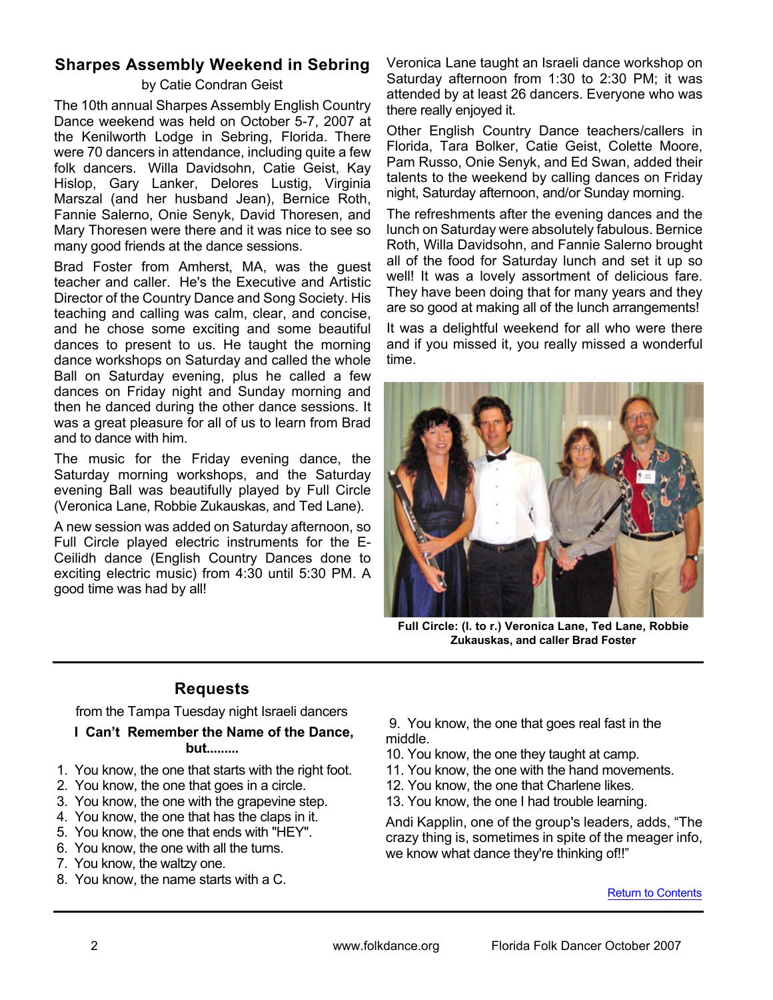# <span id="page-1-0"></span>Sharpes Assembly Weekend in Sebring

by Catie Condran Geist

The 10th annual Sharpes Assembly English Country Dance weekend was held on October 5-7, 2007 at the Kenilworth Lodge in Sebring, Florida. There were 70 dancers in attendance, including quite a few folk dancers. Willa Davidsohn, Catie Geist, Kay Hislop, Gary Lanker, Delores Lustig, Virginia Marszal (and her husband Jean), Bernice Roth, Fannie Salerno, Onie Senyk, David Thoresen, and Mary Thoresen were there and it was nice to see so many good friends at the dance sessions.

Brad Foster from Amherst, MA, was the guest teacher and caller. He's the Executive and Artistic Director of the Country Dance and Song Society. His teaching and calling was calm, clear, and concise, and he chose some exciting and some beautiful dances to present to us. He taught the morning dance workshops on Saturday and called the whole Ball on Saturday evening, plus he called a few dances on Friday night and Sunday morning and then he danced during the other dance sessions. It was a great pleasure for all of us to learn from Brad and to dance with him.

The music for the Friday evening dance, the Saturday morning workshops, and the Saturday evening Ball was beautifully played by Full Circle (Veronica Lane, Robbie Zukauskas, and Ted Lane).

A new session was added on Saturday afternoon, so Full Circle played electric instruments for the E-Ceilidh dance (English Country Dances done to exciting electric music) from 4:30 until 5:30 PM. A good time was had by all!

Veronica Lane taught an Israeli dance workshop on Saturday afternoon from 1:30 to 2:30 PM; it was attended by at least 26 dancers. Everyone who was there really enjoyed it.

Other English Country Dance teachers/callers in Florida, Tara Bolker, Catie Geist, Colette Moore, Pam Russo, Onie Senyk, and Ed Swan, added their talents to the weekend by calling dances on Friday night, Saturday afternoon, and/or Sunday morning.

The refreshments after the evening dances and the lunch on Saturday were absolutely fabulous. Bernice Roth, Willa Davidsohn, and Fannie Salerno brought all of the food for Saturday lunch and set it up so well! It was a lovely assortment of delicious fare. They have been doing that for many years and they are so good at making all of the lunch arrangements!

It was a delightful weekend for all who were there and if you missed it, you really missed a wonderful time.



Full Circle: (l. to r.) Veronica Lane, Ted Lane, Robbie Zukauskas, and caller Brad Foster

# Requests

from the Tampa Tuesday night Israeli dancers

#### I Can't Remember the Name of the Dance, but.........

- 1. You know, the one that starts with the right foot.
- 2. You know, the one that goes in a circle.
- 3. You know, the one with the grapevine step.
- 4. You know, the one that has the claps in it.
- 5. You know, the one that ends with "HEY".
- 6. You know, the one with all the turns.
- 7. You know, the waltzy one.
- 8. You know, the name starts with a C.

 9. You know, the one that goes real fast in the middle.

- 10. You know, the one they taught at camp.
- 11. You know, the one with the hand movements.
- 12. You know, the one that Charlene likes.
- 13. You know, the one I had trouble learning.

Andi Kapplin, one of the group's leaders, adds, "The crazy thing is, sometimes in spite of the meager info, we know what dance they're thinking of!!"

#### [Return to Contents](#page-0-0)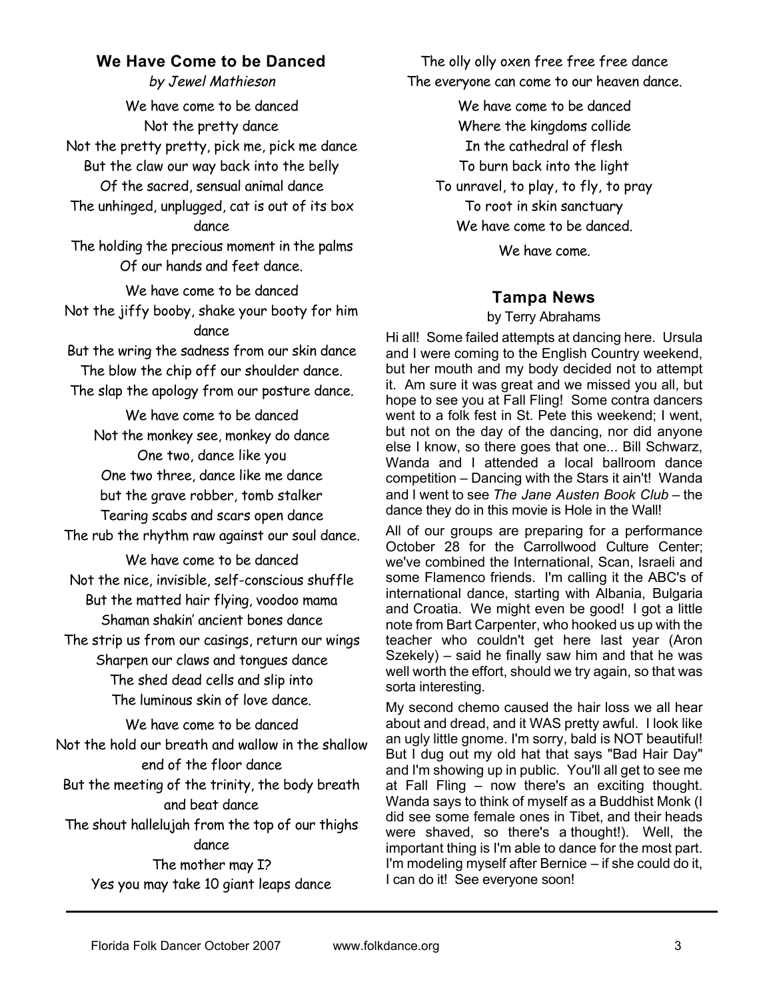# <span id="page-2-0"></span>We Have Come to be Danced

by Jewel Mathieson

We have come to be danced Not the pretty dance Not the pretty pretty, pick me, pick me dance But the claw our way back into the belly Of the sacred, sensual animal dance The unhinged, unplugged, cat is out of its box dance

The holding the precious moment in the palms Of our hands and feet dance.

We have come to be danced Not the jiffy booby, shake your booty for him dance

But the wring the sadness from our skin dance The blow the chip off our shoulder dance. The slap the apology from our posture dance.

We have come to be danced Not the monkey see, monkey do dance One two, dance like you One two three, dance like me dance but the grave robber, tomb stalker Tearing scabs and scars open dance The rub the rhythm raw against our soul dance.

We have come to be danced Not the nice, invisible, self-conscious shuffle But the matted hair flying, voodoo mama Shaman shakin' ancient bones dance The strip us from our casings, return our wings Sharpen our claws and tongues dance The shed dead cells and slip into The luminous skin of love dance.

We have come to be danced Not the hold our breath and wallow in the shallow end of the floor dance But the meeting of the trinity, the body breath and beat dance The shout hallelujah from the top of our thighs dance The mother may I? Yes you may take 10 giant leaps dance

The olly olly oxen free free free dance The everyone can come to our heaven dance.

> We have come to be danced Where the kingdoms collide In the cathedral of flesh To burn back into the light To unravel, to play, to fly, to pray To root in skin sanctuary We have come to be danced.

> > We have come.

# Tampa News

by Terry Abrahams

Hi all! Some failed attempts at dancing here. Ursula and I were coming to the English Country weekend, but her mouth and my body decided not to attempt it. Am sure it was great and we missed you all, but hope to see you at Fall Fling! Some contra dancers went to a folk fest in St. Pete this weekend; I went, but not on the day of the dancing, nor did anyone else I know, so there goes that one... Bill Schwarz, Wanda and I attended a local ballroom dance competition – Dancing with the Stars it ain't! Wanda and I went to see *The Jane Austen Book Club* – the dance they do in this movie is Hole in the Wall!

All of our groups are preparing for a performance October 28 for the Carrollwood Culture Center; we've combined the International, Scan, Israeli and some Flamenco friends. I'm calling it the ABC's of international dance, starting with Albania, Bulgaria and Croatia. We might even be good! I got a little note from Bart Carpenter, who hooked us up with the teacher who couldn't get here last year (Aron Szekely) – said he finally saw him and that he was well worth the effort, should we try again, so that was sorta interesting.

My second chemo caused the hair loss we all hear about and dread, and it WAS pretty awful. I look like an ugly little gnome. I'm sorry, bald is NOT beautiful! But I dug out my old hat that says "Bad Hair Day" and I'm showing up in public. You'll all get to see me at Fall Fling – now there's an exciting thought. Wanda says to think of myself as a Buddhist Monk (I did see some female ones in Tibet, and their heads were shaved, so there's a thought!). Well, the important thing is I'm able to dance for the most part. I'm modeling myself after Bernice – if she could do it, I can do it! See everyone soon!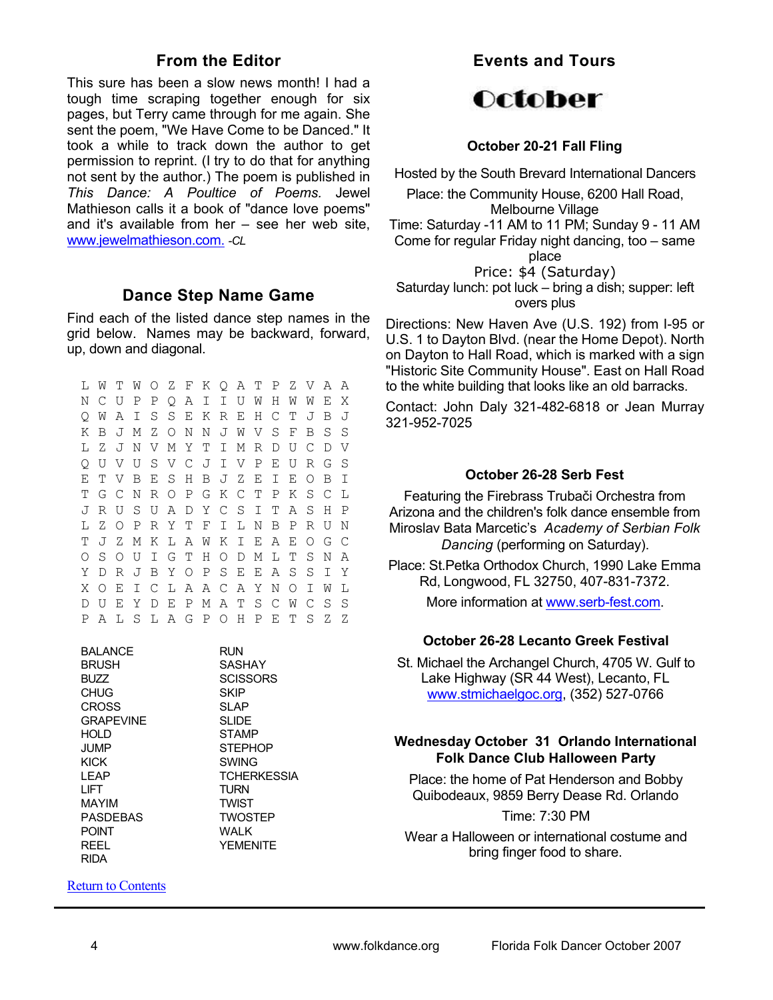# From the Editor

<span id="page-3-0"></span>This sure has been a slow news month! I had a tough time scraping together enough for six pages, but Terry came through for me again. She sent the poem, "We Have Come to be Danced." It took a while to track down the author to get permission to reprint. (I try to do that for anything not sent by the author.) The poem is published in *This Dance: A Poultice of Poems.* Jewel Mathieson calls it a book of "dance love poems" and it's available from her – see her web site, [www.jewelmathieson.com.](http://www.jewelmathieson.com) *-CL*

## Dance Step Name Game

Find each of the listed dance step names in the grid below. Names may be backward, forward, up, down and diagonal.

|         | L W          |          |     |       |                     |       |       | T W O Z F K Q A T P Z V A A |              |            |              |             |
|---------|--------------|----------|-----|-------|---------------------|-------|-------|-----------------------------|--------------|------------|--------------|-------------|
|         | N C          |          |     |       |                     |       |       | U P P Q A I I U W H W       |              | W          | E            | – X         |
| 0       | W            |          |     |       | A I S S E K R E H C |       |       |                             | $\mathbb{T}$ | J          | B            | J           |
|         | K B          | J        | М   | Z O N | N                   | J W V |       | S                           | F            | B          | S            | -S          |
| L Z     |              |          |     |       | J N V M Y T I M R   |       |       | D                           | U            | C          | D            | V           |
|         | O U          |          |     |       | VUSVCJIVP           |       |       | E.                          | U            | R          | G            | -S          |
| Е       | T            |          | V B |       | E S H B J Z E       |       |       | I                           | Е            | Ω          | B            | $\mathbf I$ |
| T       | G            | - C      |     |       | N R O P G K C T     |       |       | P                           | Κ            | S.         | C            | L           |
| J       | R            | U        | S.  |       | U A D Y C S I       |       |       | T                           | Α            | S          | Η            | $\mathbf P$ |
| L       | Ζ            | $\circ$  | P   |       | RYTFIL N            |       |       | B                           | P            | R          | U            | N           |
|         | T J          |          |     |       |                     |       |       | Z M K L A W K I E A         | Е            | $\bigcirc$ | G            | C           |
| $\circ$ | -S           | $\Omega$ | U   |       | IGTHO               |       | D M L |                             | T            | S          | N            | Α           |
| Y       | $\mathbb{D}$ | R        |     |       | J B Y O P S E E A   |       |       |                             | S            | S          | $\mathbb{I}$ | Y           |
| X O     |              | Ε        | I.  |       | C L A A C A Y N     |       |       |                             | O            | T          | W            | T.          |
| D       | U            | E        |     |       | Y D E P M A T S C   |       |       |                             | W            | C          | S            | -S          |
|         |              |          |     |       | PALSLAGPOHP         |       |       |                             | E T          | S          | Z            | - Z         |
|         |              |          |     |       |                     |       |       |                             |              |            |              |             |

| BAI ANCF         | <b>RUN</b>         |
|------------------|--------------------|
| BRUSH            | <b>SASHAY</b>      |
| BUZZ             | <b>SCISSORS</b>    |
| CHUG             | <b>SKIP</b>        |
| CROSS            | SLAP               |
| <b>GRAPFVINF</b> | <b>SLIDE</b>       |
| HOLD             | <b>STAMP</b>       |
| JUMP             | <b>STEPHOP</b>     |
| KICK             | <b>SWING</b>       |
| LEAP             | <b>TCHERKESSIA</b> |
| I IFT            | <b>TURN</b>        |
| MAYIM            | <b>TWIST</b>       |
| PASDEBAS         | <b>TWOSTEP</b>     |
| POINT            | WALK               |
| REEL             | <b>YFMFNITF</b>    |
| RIDA             |                    |
|                  |                    |

[Return to Contents](#page-0-0)

Events and Tours



#### October 20-21 Fall Fling

Hosted by the South Brevard International Dancers

Place: the Community House, 6200 Hall Road, Melbourne Village Time: Saturday -11 AM to 11 PM; Sunday 9 - 11 AM Come for regular Friday night dancing, too – same place

Price: \$4 (Saturday) Saturday lunch: pot luck – bring a dish; supper: left overs plus

Directions: New Haven Ave (U.S. 192) from I-95 or U.S. 1 to Dayton Blvd. (near the Home Depot). North on Dayton to Hall Road, which is marked with a sign "Historic Site Community House". East on Hall Road to the white building that looks like an old barracks.

Contact: John Daly 321-482-6818 or Jean Murray 321-952-7025

#### October 26-28 Serb Fest

Featuring the Firebrass Trubači Orchestra from Arizona and the children's folk dance ensemble from Miroslav Bata Marcetic's Academy of Serbian Folk Dancing (performing on Saturday).

Place: St.Petka Orthodox Church, 1990 Lake Emma Rd, Longwood, FL 32750, 407-831-7372.

More information at [www.serb-fest.com](http://www.serb-fest.com).

#### October 26-28 Lecanto Greek Festival

St. Michael the Archangel Church, 4705 W. Gulf to Lake Highway (SR 44 West), Lecanto, FL [www.stmichaelgoc.org,](http://www.stmichaelgoc.org/) (352) 527-0766

## Wednesday October 31 Orlando International Folk Dance Club Halloween Party

Place: the home of Pat Henderson and Bobby Quibodeaux, 9859 Berry Dease Rd. Orlando

Time: 7:30 PM

Wear a Halloween or international costume and bring finger food to share.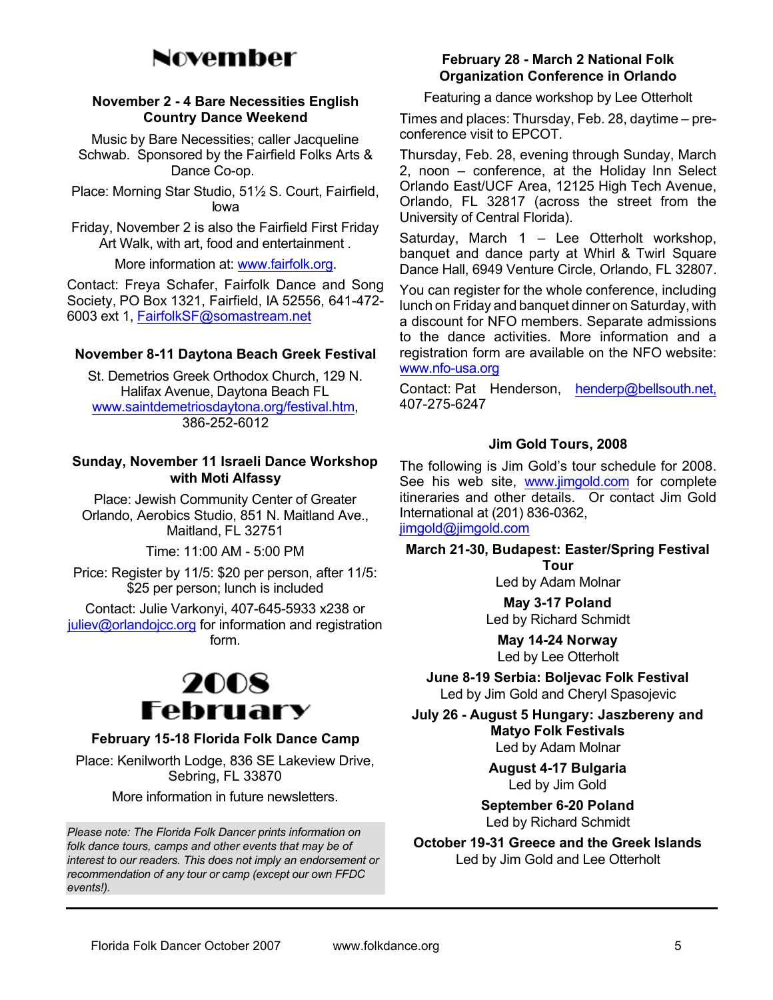# November

#### November 2 - 4 Bare Necessities English Country Dance Weekend

Music by Bare Necessities; caller Jacqueline Schwab. Sponsored by the Fairfield Folks Arts & Dance Co-op.

Place: Morning Star Studio, 51½ S. Court, Fairfield, Iowa

Friday, November 2 is also the Fairfield First Friday Art Walk, with art, food and entertainment .

More information at: [www.fairfolk.org.](http://www.fairfolk.org)

Contact: Freya Schafer, Fairfolk Dance and Song Society, PO Box 1321, Fairfield, IA 52556, 641-472- 6003 ext 1, [FairfolkSF@somastream.net](mailto:FairfolkSF@somastream.net)

#### November 8-11 Daytona Beach Greek Festival

St. Demetrios Greek Orthodox Church, 129 N. Halifax Avenue, Daytona Beach FL [www.saintdemetriosdaytona.org/festival.htm,](http://www.saintdemetriosdaytona.org/festival.htm) 386-252-6012

#### Sunday, November 11 Israeli Dance Workshop with Moti Alfassy

Place: Jewish Community Center of Greater Orlando, Aerobics Studio, 851 N. Maitland Ave., Maitland, FL 32751

Time: 11:00 AM - 5:00 PM

Price: Register by 11/5: \$20 per person, after 11/5: \$25 per person; lunch is included

Contact: Julie Varkonyi, 407-645-5933 x238 or [juliev@orlandojcc.org](mailto:juliev@orlandojcc.org) for information and registration form.



## February 15-18 Florida Folk Dance Camp

Place: Kenilworth Lodge, 836 SE Lakeview Drive, Sebring, FL 33870

More information in future newsletters.

*Please note: The Florida Folk Dancer prints information on folk dance tours, camps and other events that may be of interest to our readers. This does not imply an endorsement or recommendation of any tour or camp (except our own FFDC events!).*

## February 28 - March 2 National Folk Organization Conference in Orlando

Featuring a dance workshop by Lee Otterholt

Times and places: Thursday, Feb. 28, daytime – preconference visit to EPCOT.

Thursday, Feb. 28, evening through Sunday, March 2, noon – conference, at the Holiday Inn Select Orlando East/UCF Area, 12125 High Tech Avenue, Orlando, FL 32817 (across the street from the University of Central Florida).

Saturday, March 1 – Lee Otterholt workshop, banquet and dance party at Whirl & Twirl Square Dance Hall, 6949 Venture Circle, Orlando, FL 32807.

You can register for the whole conference, including lunch on Friday and banquet dinner on Saturday, with a discount for NFO members. Separate admissions to the dance activities. More information and a registration form are available on the NFO website: [www.nfo-usa.org](http://www.nfo-usa.org/)

Contact: Pat Henderson, [henderp@bellsouth.net,](mailto:henderp@bellsouth.net) 407-275-6247

#### Jim Gold Tours, 2008

The following is Jim Gold's tour schedule for 2008. See his web site, [www.jimgold.com](http://www.jimgold.com/) for complete itineraries and other details. Or contact Jim Gold International at (201) 836-0362, [jimgold@jimgold.com](mailto:jimgold@jimgold.com)

March 21-30, Budapest: Easter/Spring Festival Tour

Led by Adam Molnar

May 3-17 Poland Led by Richard Schmidt

May 14-24 Norway Led by Lee Otterholt

June 8-19 Serbia: Boljevac Folk Festival Led by Jim Gold and Cheryl Spasojevic

July 26 - August 5 Hungary: Jaszbereny and Matyo Folk Festivals Led by Adam Molnar

> August 4-17 Bulgaria Led by Jim Gold

September 6-20 Poland Led by Richard Schmidt

October 19-31 Greece and the Greek Islands Led by Jim Gold and Lee Otterholt